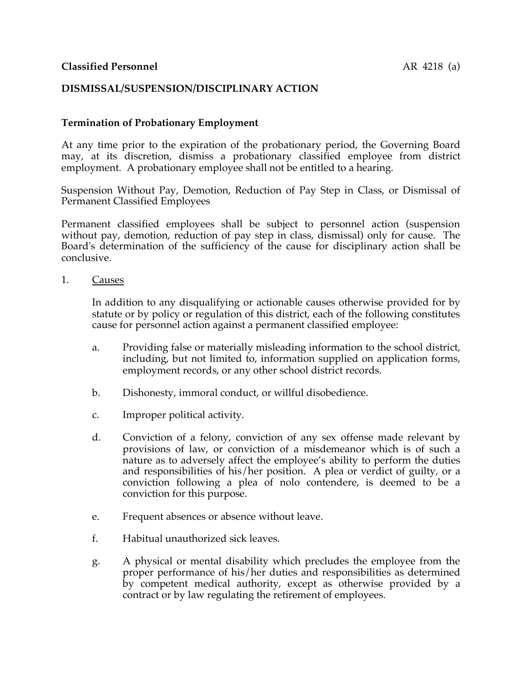# **DISMISSAL/SUSPENSION/DISCIPLINARY ACTION**

### **Termination of Probationary Employment**

At any time prior to the expiration of the probationary period, the Governing Board may, at its discretion, dismiss a probationary classified employee from district employment. A probationary employee shall not be entitled to a hearing.

Suspension Without Pay, Demotion, Reduction of Pay Step in Class, or Dismissal of Permanent Classified Employees

Permanent classified employees shall be subject to personnel action (suspension without pay, demotion, reduction of pay step in class, dismissal) only for cause. The Board's determination of the sufficiency of the cause for disciplinary action shall be conclusive.

1. Causes

In addition to any disqualifying or actionable causes otherwise provided for by statute or by policy or regulation of this district, each of the following constitutes cause for personnel action against a permanent classified employee:

- a. Providing false or materially misleading information to the school district, including, but not limited to, information supplied on application forms, employment records, or any other school district records.
- b. Dishonesty, immoral conduct, or willful disobedience.
- c. Improper political activity.
- d. Conviction of a felony, conviction of any sex offense made relevant by provisions of law, or conviction of a misdemeanor which is of such a nature as to adversely affect the employee's ability to perform the duties and responsibilities of his/her position. A plea or verdict of guilty, or a conviction following a plea of nolo contendere, is deemed to be a conviction for this purpose.
- e. Frequent absences or absence without leave.
- f. Habitual unauthorized sick leaves.
- g. A physical or mental disability which precludes the employee from the proper performance of his/her duties and responsibilities as determined by competent medical authority, except as otherwise provided by a contract or by law regulating the retirement of employees.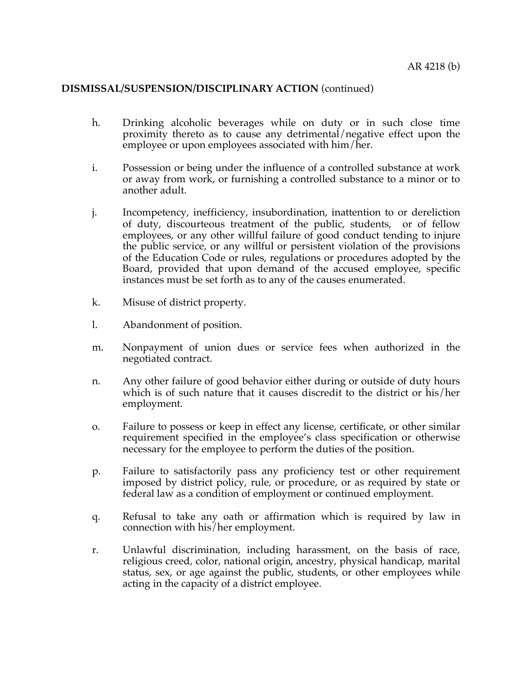- h. Drinking alcoholic beverages while on duty or in such close time proximity thereto as to cause any detrimental/negative effect upon the employee or upon employees associated with him/her.
- i. Possession or being under the influence of a controlled substance at work or away from work, or furnishing a controlled substance to a minor or to another adult.
- j. Incompetency, inefficiency, insubordination, inattention to or dereliction of duty, discourteous treatment of the public, students, or of fellow employees, or any other willful failure of good conduct tending to injure the public service, or any willful or persistent violation of the provisions of the Education Code or rules, regulations or procedures adopted by the Board, provided that upon demand of the accused employee, specific instances must be set forth as to any of the causes enumerated.
- k. Misuse of district property.
- l. Abandonment of position.
- m. Nonpayment of union dues or service fees when authorized in the negotiated contract.
- n. Any other failure of good behavior either during or outside of duty hours which is of such nature that it causes discredit to the district or his/her employment.
- o. Failure to possess or keep in effect any license, certificate, or other similar requirement specified in the employee's class specification or otherwise necessary for the employee to perform the duties of the position.
- p. Failure to satisfactorily pass any proficiency test or other requirement imposed by district policy, rule, or procedure, or as required by state or federal law as a condition of employment or continued employment.
- q. Refusal to take any oath or affirmation which is required by law in connection with his/her employment.
- r. Unlawful discrimination, including harassment, on the basis of race, religious creed, color, national origin, ancestry, physical handicap, marital status, sex, or age against the public, students, or other employees while acting in the capacity of a district employee.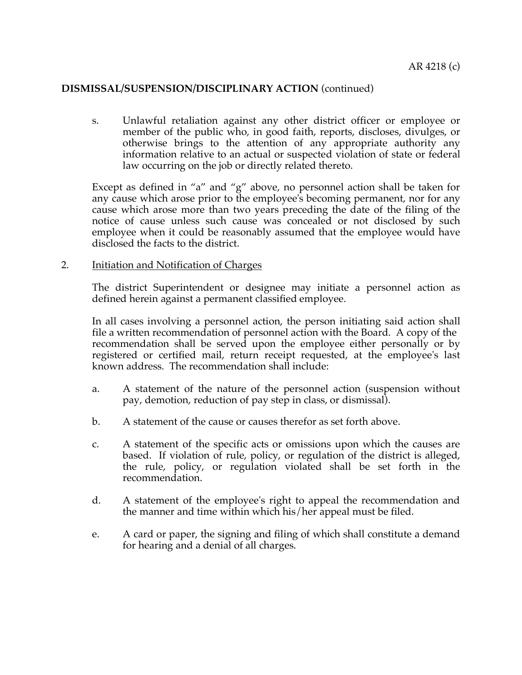s. Unlawful retaliation against any other district officer or employee or member of the public who, in good faith, reports, discloses, divulges, or otherwise brings to the attention of any appropriate authority any information relative to an actual or suspected violation of state or federal law occurring on the job or directly related thereto.

Except as defined in "a" and "g" above, no personnel action shall be taken for any cause which arose prior to the employee's becoming permanent, nor for any cause which arose more than two years preceding the date of the filing of the notice of cause unless such cause was concealed or not disclosed by such employee when it could be reasonably assumed that the employee would have disclosed the facts to the district.

#### 2. Initiation and Notification of Charges

The district Superintendent or designee may initiate a personnel action as defined herein against a permanent classified employee.

In all cases involving a personnel action, the person initiating said action shall file a written recommendation of personnel action with the Board. A copy of the recommendation shall be served upon the employee either personally or by registered or certified mail, return receipt requested, at the employee's last known address. The recommendation shall include:

- a. A statement of the nature of the personnel action (suspension without pay, demotion, reduction of pay step in class, or dismissal).
- b. A statement of the cause or causes therefor as set forth above.
- c. A statement of the specific acts or omissions upon which the causes are based. If violation of rule, policy, or regulation of the district is alleged, the rule, policy, or regulation violated shall be set forth in the recommendation.
- d. A statement of the employee's right to appeal the recommendation and the manner and time within which his/her appeal must be filed.
- e. A card or paper, the signing and filing of which shall constitute a demand for hearing and a denial of all charges.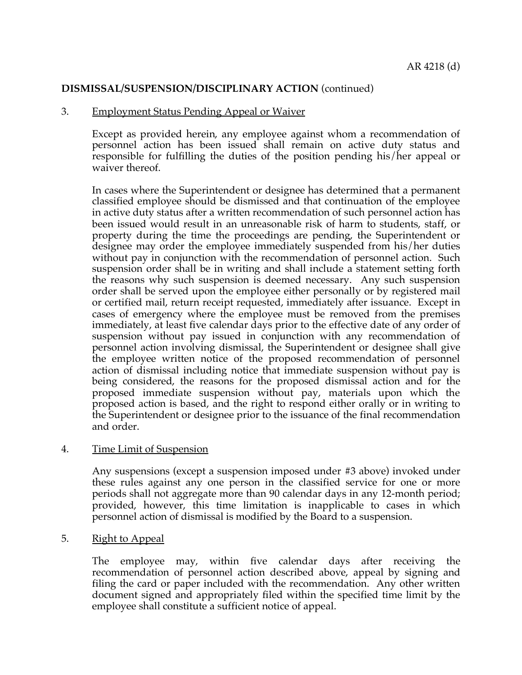### 3. Employment Status Pending Appeal or Waiver

Except as provided herein, any employee against whom a recommendation of personnel action has been issued shall remain on active duty status and responsible for fulfilling the duties of the position pending his/her appeal or waiver thereof.

In cases where the Superintendent or designee has determined that a permanent classified employee should be dismissed and that continuation of the employee in active duty status after a written recommendation of such personnel action has been issued would result in an unreasonable risk of harm to students, staff, or property during the time the proceedings are pending, the Superintendent or designee may order the employee immediately suspended from his/her duties without pay in conjunction with the recommendation of personnel action. Such suspension order shall be in writing and shall include a statement setting forth the reasons why such suspension is deemed necessary. Any such suspension order shall be served upon the employee either personally or by registered mail or certified mail, return receipt requested, immediately after issuance. Except in cases of emergency where the employee must be removed from the premises immediately, at least five calendar days prior to the effective date of any order of suspension without pay issued in conjunction with any recommendation of personnel action involving dismissal, the Superintendent or designee shall give the employee written notice of the proposed recommendation of personnel action of dismissal including notice that immediate suspension without pay is being considered, the reasons for the proposed dismissal action and for the proposed immediate suspension without pay, materials upon which the proposed action is based, and the right to respond either orally or in writing to the Superintendent or designee prior to the issuance of the final recommendation and order.

### 4. Time Limit of Suspension

Any suspensions (except a suspension imposed under #3 above) invoked under these rules against any one person in the classified service for one or more periods shall not aggregate more than 90 calendar days in any 12-month period; provided, however, this time limitation is inapplicable to cases in which personnel action of dismissal is modified by the Board to a suspension.

### 5. Right to Appeal

The employee may, within five calendar days after receiving the recommendation of personnel action described above, appeal by signing and filing the card or paper included with the recommendation. Any other written document signed and appropriately filed within the specified time limit by the employee shall constitute a sufficient notice of appeal.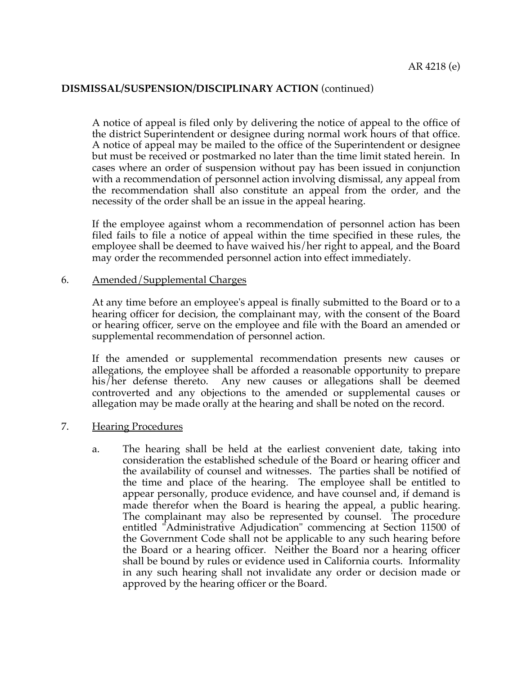A notice of appeal is filed only by delivering the notice of appeal to the office of the district Superintendent or designee during normal work hours of that office. A notice of appeal may be mailed to the office of the Superintendent or designee but must be received or postmarked no later than the time limit stated herein. In cases where an order of suspension without pay has been issued in conjunction with a recommendation of personnel action involving dismissal, any appeal from the recommendation shall also constitute an appeal from the order, and the necessity of the order shall be an issue in the appeal hearing.

If the employee against whom a recommendation of personnel action has been filed fails to file a notice of appeal within the time specified in these rules, the employee shall be deemed to have waived his/her right to appeal, and the Board may order the recommended personnel action into effect immediately.

### 6. Amended/Supplemental Charges

At any time before an employee's appeal is finally submitted to the Board or to a hearing officer for decision, the complainant may, with the consent of the Board or hearing officer, serve on the employee and file with the Board an amended or supplemental recommendation of personnel action.

If the amended or supplemental recommendation presents new causes or allegations, the employee shall be afforded a reasonable opportunity to prepare his/her defense thereto. Any new causes or allegations shall be deemed controverted and any objections to the amended or supplemental causes or allegation may be made orally at the hearing and shall be noted on the record.

### 7. Hearing Procedures

a. The hearing shall be held at the earliest convenient date, taking into consideration the established schedule of the Board or hearing officer and the availability of counsel and witnesses. The parties shall be notified of the time and place of the hearing. The employee shall be entitled to appear personally, produce evidence, and have counsel and, if demand is made therefor when the Board is hearing the appeal, a public hearing. The complainant may also be represented by counsel. The procedure entitled "Administrative Adjudication" commencing at Section 11500 of the Government Code shall not be applicable to any such hearing before the Board or a hearing officer. Neither the Board nor a hearing officer shall be bound by rules or evidence used in California courts. Informality in any such hearing shall not invalidate any order or decision made or approved by the hearing officer or the Board.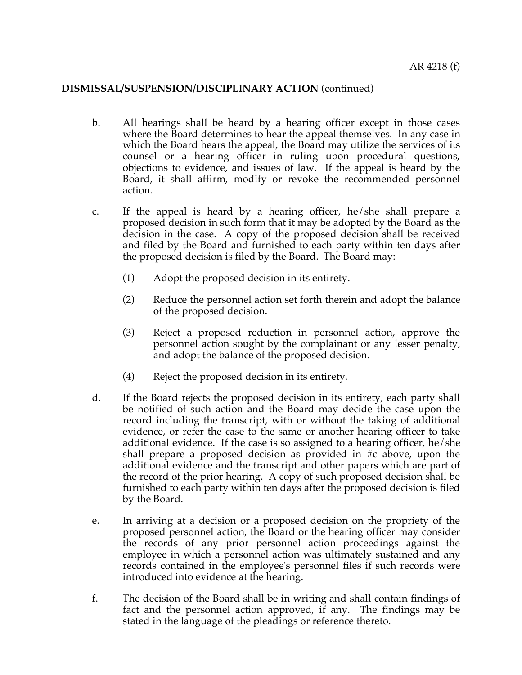- b. All hearings shall be heard by a hearing officer except in those cases where the Board determines to hear the appeal themselves. In any case in which the Board hears the appeal, the Board may utilize the services of its counsel or a hearing officer in ruling upon procedural questions, objections to evidence, and issues of law. If the appeal is heard by the Board, it shall affirm, modify or revoke the recommended personnel action.
- c. If the appeal is heard by a hearing officer, he/she shall prepare a proposed decision in such form that it may be adopted by the Board as the decision in the case. A copy of the proposed decision shall be received and filed by the Board and furnished to each party within ten days after the proposed decision is filed by the Board. The Board may:
	- (1) Adopt the proposed decision in its entirety.
	- (2) Reduce the personnel action set forth therein and adopt the balance of the proposed decision.
	- (3) Reject a proposed reduction in personnel action, approve the personnel action sought by the complainant or any lesser penalty, and adopt the balance of the proposed decision.
	- (4) Reject the proposed decision in its entirety.
- d. If the Board rejects the proposed decision in its entirety, each party shall be notified of such action and the Board may decide the case upon the record including the transcript, with or without the taking of additional evidence, or refer the case to the same or another hearing officer to take additional evidence. If the case is so assigned to a hearing officer, he/she shall prepare a proposed decision as provided in #c above, upon the additional evidence and the transcript and other papers which are part of the record of the prior hearing. A copy of such proposed decision shall be furnished to each party within ten days after the proposed decision is filed by the Board.
- e. In arriving at a decision or a proposed decision on the propriety of the proposed personnel action, the Board or the hearing officer may consider the records of any prior personnel action proceedings against the employee in which a personnel action was ultimately sustained and any records contained in the employee's personnel files if such records were introduced into evidence at the hearing.
- f. The decision of the Board shall be in writing and shall contain findings of fact and the personnel action approved, if any. The findings may be stated in the language of the pleadings or reference thereto.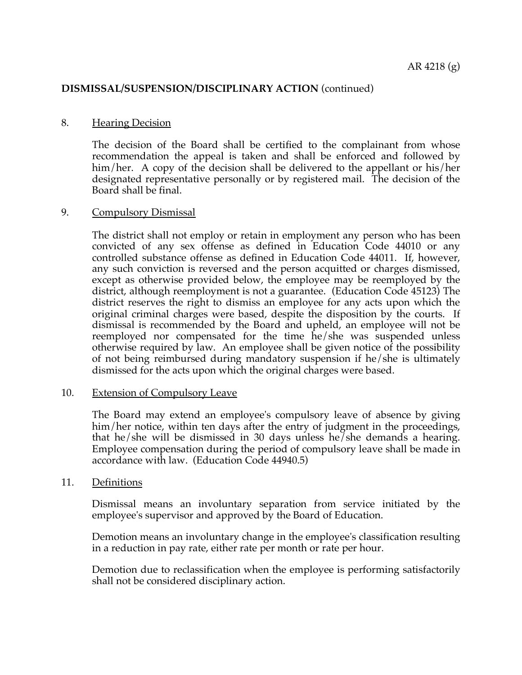### 8. Hearing Decision

The decision of the Board shall be certified to the complainant from whose recommendation the appeal is taken and shall be enforced and followed by him/her. A copy of the decision shall be delivered to the appellant or his/her designated representative personally or by registered mail. The decision of the Board shall be final.

### 9. Compulsory Dismissal

The district shall not employ or retain in employment any person who has been convicted of any sex offense as defined in Education Code 44010 or any controlled substance offense as defined in Education Code 44011. If, however, any such conviction is reversed and the person acquitted or charges dismissed, except as otherwise provided below, the employee may be reemployed by the district, although reemployment is not a guarantee. (Education Code 45123) The district reserves the right to dismiss an employee for any acts upon which the original criminal charges were based, despite the disposition by the courts. If dismissal is recommended by the Board and upheld, an employee will not be reemployed nor compensated for the time he/she was suspended unless otherwise required by law. An employee shall be given notice of the possibility of not being reimbursed during mandatory suspension if he/she is ultimately dismissed for the acts upon which the original charges were based.

### 10. Extension of Compulsory Leave

The Board may extend an employee's compulsory leave of absence by giving him/her notice, within ten days after the entry of judgment in the proceedings, that he/she will be dismissed in 30 days unless he/she demands a hearing. Employee compensation during the period of compulsory leave shall be made in accordance with law. (Education Code 44940.5)

### 11. Definitions

Dismissal means an involuntary separation from service initiated by the employee's supervisor and approved by the Board of Education.

Demotion means an involuntary change in the employee's classification resulting in a reduction in pay rate, either rate per month or rate per hour.

Demotion due to reclassification when the employee is performing satisfactorily shall not be considered disciplinary action.